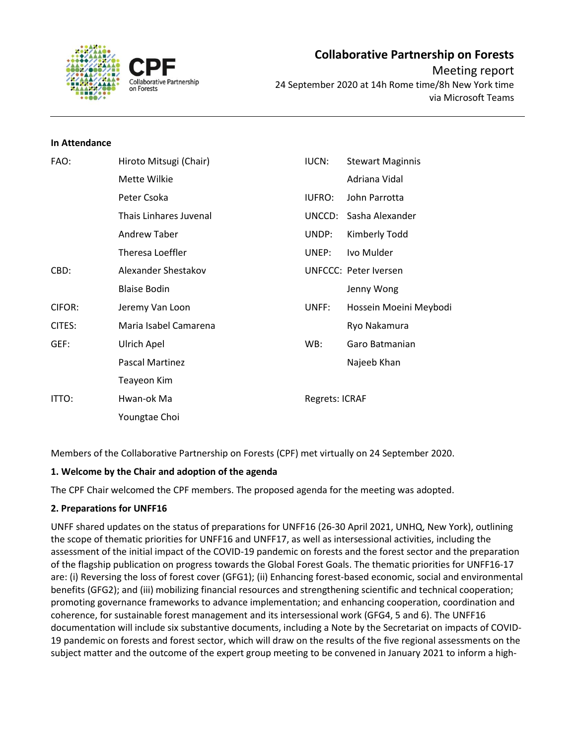

#### **In Attendance**

| FAO:   | Hiroto Mitsugi (Chair) | <b>IUCN:</b>          | <b>Stewart Maginnis</b>      |
|--------|------------------------|-----------------------|------------------------------|
|        | Mette Wilkie           |                       | Adriana Vidal                |
|        | Peter Csoka            | <b>IUFRO:</b>         | John Parrotta                |
|        | Thais Linhares Juvenal | UNCCD:                | Sasha Alexander              |
|        | Andrew Taber           | UNDP:                 | Kimberly Todd                |
|        | Theresa Loeffler       | UNEP:                 | Ivo Mulder                   |
| CBD:   | Alexander Shestakov    |                       | <b>UNFCCC: Peter Iversen</b> |
|        | <b>Blaise Bodin</b>    |                       | Jenny Wong                   |
| CIFOR: | Jeremy Van Loon        | UNFF:                 | Hossein Moeini Meybodi       |
| CITES: | Maria Isabel Camarena  |                       | Ryo Nakamura                 |
| GEF:   | Ulrich Apel            | WB:                   | Garo Batmanian               |
|        | <b>Pascal Martinez</b> |                       | Najeeb Khan                  |
|        | Teayeon Kim            |                       |                              |
| ITTO:  | Hwan-ok Ma             | <b>Regrets: ICRAF</b> |                              |
|        | Youngtae Choi          |                       |                              |

Members of the Collaborative Partnership on Forests (CPF) met virtually on 24 September 2020.

# **1. Welcome by the Chair and adoption of the agenda**

The CPF Chair welcomed the CPF members. The proposed agenda for the meeting was adopted.

# **2. Preparations for UNFF16**

UNFF shared updates on the status of preparations for UNFF16 (26-30 April 2021, UNHQ, New York), outlining the scope of thematic priorities for UNFF16 and UNFF17, as well as intersessional activities, including the assessment of the initial impact of the COVID-19 pandemic on forests and the forest sector and the preparation of the flagship publication on progress towards the Global Forest Goals. The thematic priorities for UNFF16-17 are: (i) Reversing the loss of forest cover (GFG1); (ii) Enhancing forest-based economic, social and environmental benefits (GFG2); and (iii) mobilizing financial resources and strengthening scientific and technical cooperation; promoting governance frameworks to advance implementation; and enhancing cooperation, coordination and coherence, for sustainable forest management and its intersessional work (GFG4, 5 and 6). The UNFF16 documentation will include six substantive documents, including a Note by the Secretariat on impacts of COVID-19 pandemic on forests and forest sector, which will draw on the results of the five regional assessments on the subject matter and the outcome of the expert group meeting to be convened in January 2021 to inform a high-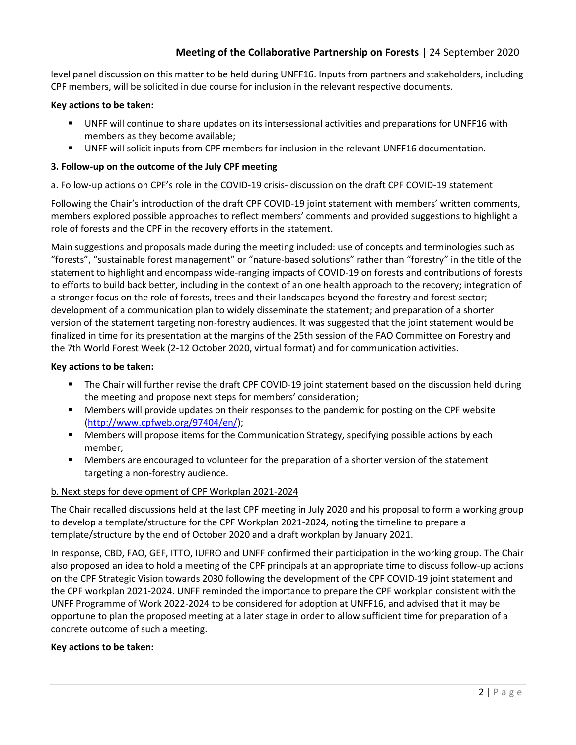level panel discussion on this matter to be held during UNFF16. Inputs from partners and stakeholders, including CPF members, will be solicited in due course for inclusion in the relevant respective documents.

### **Key actions to be taken:**

- UNFF will continue to share updates on its intersessional activities and preparations for UNFF16 with members as they become available;
- UNFF will solicit inputs from CPF members for inclusion in the relevant UNFF16 documentation.

## **3. Follow-up on the outcome of the July CPF meeting**

### a. Follow-up actions on CPF's role in the COVID-19 crisis- discussion on the draft CPF COVID-19 statement

Following the Chair's introduction of the draft CPF COVID-19 joint statement with members' written comments, members explored possible approaches to reflect members' comments and provided suggestions to highlight a role of forests and the CPF in the recovery efforts in the statement.

Main suggestions and proposals made during the meeting included: use of concepts and terminologies such as "forests", "sustainable forest management" or "nature-based solutions" rather than "forestry" in the title of the statement to highlight and encompass wide-ranging impacts of COVID-19 on forests and contributions of forests to efforts to build back better, including in the context of an one health approach to the recovery; integration of a stronger focus on the role of forests, trees and their landscapes beyond the forestry and forest sector; development of a communication plan to widely disseminate the statement; and preparation of a shorter version of the statement targeting non-forestry audiences. It was suggested that the joint statement would be finalized in time for its presentation at the margins of the 25th session of the FAO Committee on Forestry and the 7th World Forest Week (2-12 October 2020, virtual format) and for communication activities.

### **Key actions to be taken:**

- The Chair will further revise the draft CPF COVID-19 joint statement based on the discussion held during the meeting and propose next steps for members' consideration;
- **■** Members will provide updates on their responses to the pandemic for posting on the CPF website [\(http://www.cpfweb.org/97404/en/\)](http://www.cpfweb.org/97404/en/);
- Members will propose items for the Communication Strategy, specifying possible actions by each member;
- Members are encouraged to volunteer for the preparation of a shorter version of the statement targeting a non-forestry audience.

# b. Next steps for development of CPF Workplan 2021-2024

The Chair recalled discussions held at the last CPF meeting in July 2020 and his proposal to form a working group to develop a template/structure for the CPF Workplan 2021-2024, noting the timeline to prepare a template/structure by the end of October 2020 and a draft workplan by January 2021.

In response, CBD, FAO, GEF, ITTO, IUFRO and UNFF confirmed their participation in the working group. The Chair also proposed an idea to hold a meeting of the CPF principals at an appropriate time to discuss follow-up actions on the CPF Strategic Vision towards 2030 following the development of the CPF COVID-19 joint statement and the CPF workplan 2021-2024. UNFF reminded the importance to prepare the CPF workplan consistent with the UNFF Programme of Work 2022-2024 to be considered for adoption at UNFF16, and advised that it may be opportune to plan the proposed meeting at a later stage in order to allow sufficient time for preparation of a concrete outcome of such a meeting.

#### **Key actions to be taken:**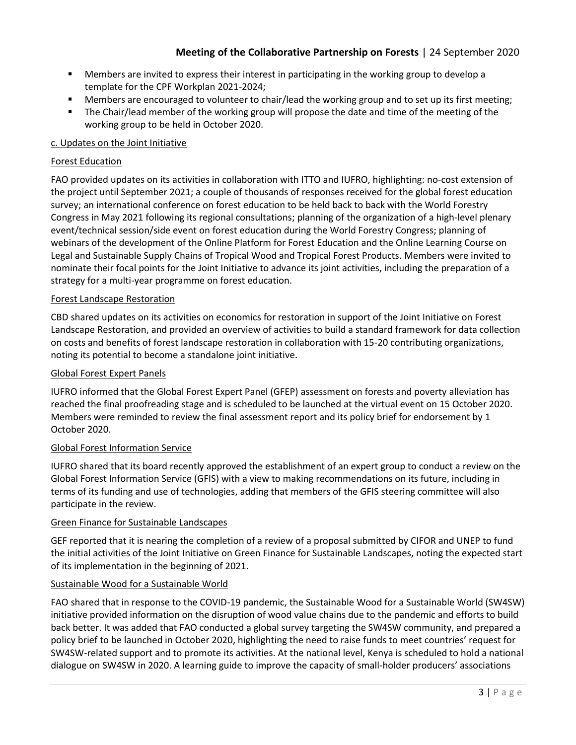- Members are invited to express their interest in participating in the working group to develop a template for the CPF Workplan 2021-2024;
- Members are encouraged to volunteer to chair/lead the working group and to set up its first meeting;
- The Chair/lead member of the working group will propose the date and time of the meeting of the working group to be held in October 2020.

# c. Updates on the Joint Initiative

# Forest Education

FAO provided updates on its activities in collaboration with ITTO and IUFRO, highlighting: no-cost extension of the project until September 2021; a couple of thousands of responses received for the global forest education survey; an international conference on forest education to be held back to back with the World Forestry Congress in May 2021 following its regional consultations; planning of the organization of a high-level plenary event/technical session/side event on forest education during the World Forestry Congress; planning of webinars of the development of the Online Platform for Forest Education and the Online Learning Course on Legal and Sustainable Supply Chains of Tropical Wood and Tropical Forest Products. Members were invited to nominate their focal points for the Joint Initiative to advance its joint activities, including the preparation of a strategy for a multi-year programme on forest education.

### Forest Landscape Restoration

CBD shared updates on its activities on economics for restoration in support of the Joint Initiative on Forest Landscape Restoration, and provided an overview of activities to build a standard framework for data collection on costs and benefits of forest landscape restoration in collaboration with 15-20 contributing organizations, noting its potential to become a standalone joint initiative.

#### Global Forest Expert Panels

IUFRO informed that the Global Forest Expert Panel (GFEP) assessment on forests and poverty alleviation has reached the final proofreading stage and is scheduled to be launched at the virtual event on 15 October 2020. Members were reminded to review the final assessment report and its policy brief for endorsement by 1 October 2020.

#### Global Forest Information Service

IUFRO shared that its board recently approved the establishment of an expert group to conduct a review on the Global Forest Information Service (GFIS) with a view to making recommendations on its future, including in terms of its funding and use of technologies, adding that members of the GFIS steering committee will also participate in the review.

# Green Finance for Sustainable Landscapes

GEF reported that it is nearing the completion of a review of a proposal submitted by CIFOR and UNEP to fund the initial activities of the Joint Initiative on Green Finance for Sustainable Landscapes, noting the expected start of its implementation in the beginning of 2021.

# Sustainable Wood for a Sustainable World

FAO shared that in response to the COVID-19 pandemic, the Sustainable Wood for a Sustainable World (SW4SW) initiative provided information on the disruption of wood value chains due to the pandemic and efforts to build back better. It was added that FAO conducted a global survey targeting the SW4SW community, and prepared a policy brief to be launched in October 2020, highlighting the need to raise funds to meet countries' request for SW4SW-related support and to promote its activities. At the national level, Kenya is scheduled to hold a national dialogue on SW4SW in 2020. A learning guide to improve the capacity of small-holder producers' associations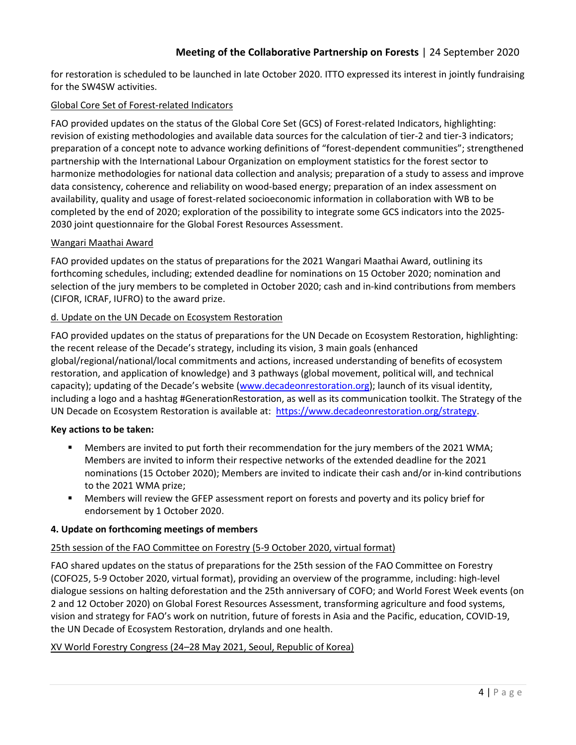for restoration is scheduled to be launched in late October 2020. ITTO expressed its interest in jointly fundraising for the SW4SW activities.

### Global Core Set of Forest-related Indicators

FAO provided updates on the status of the Global Core Set (GCS) of Forest-related Indicators, highlighting: revision of existing methodologies and available data sources for the calculation of tier-2 and tier-3 indicators; preparation of a concept note to advance working definitions of "forest-dependent communities"; strengthened partnership with the International Labour Organization on employment statistics for the forest sector to harmonize methodologies for national data collection and analysis; preparation of a study to assess and improve data consistency, coherence and reliability on wood-based energy; preparation of an index assessment on availability, quality and usage of forest-related socioeconomic information in collaboration with WB to be completed by the end of 2020; exploration of the possibility to integrate some GCS indicators into the 2025- 2030 joint questionnaire for the Global Forest Resources Assessment.

# Wangari Maathai Award

FAO provided updates on the status of preparations for the 2021 Wangari Maathai Award, outlining its forthcoming schedules, including; extended deadline for nominations on 15 October 2020; nomination and selection of the jury members to be completed in October 2020; cash and in-kind contributions from members (CIFOR, ICRAF, IUFRO) to the award prize.

### d. Update on the UN Decade on Ecosystem Restoration

FAO provided updates on the status of preparations for the UN Decade on Ecosystem Restoration, highlighting: the recent release of the Decade's strategy, including its vision, 3 main goals (enhanced global/regional/national/local commitments and actions, increased understanding of benefits of ecosystem restoration, and application of knowledge) and 3 pathways (global movement, political will, and technical capacity); updating of the Decade's website [\(www.decadeonrestoration.org\)](http://www.decadeonrestoration.org/); launch of its visual identity, including a logo and a hashtag #GenerationRestoration, as well as its communication toolkit. The Strategy of the UN Decade on Ecosystem Restoration is available at: [https://www.decadeonrestoration.org/strategy.](https://www.decadeonrestoration.org/strategy)

#### **Key actions to be taken:**

- Members are invited to put forth their recommendation for the jury members of the 2021 WMA; Members are invited to inform their respective networks of the extended deadline for the 2021 nominations (15 October 2020); Members are invited to indicate their cash and/or in-kind contributions to the 2021 WMA prize;
- Members will review the GFEP assessment report on forests and poverty and its policy brief for endorsement by 1 October 2020.

#### **4. Update on forthcoming meetings of members**

# 25th session of the FAO Committee on Forestry (5-9 October 2020, virtual format)

FAO shared updates on the status of preparations for the 25th session of the FAO Committee on Forestry (COFO25, 5-9 October 2020, virtual format), providing an overview of the programme, including: high-level dialogue sessions on halting deforestation and the 25th anniversary of COFO; and World Forest Week events (on 2 and 12 October 2020) on Global Forest Resources Assessment, transforming agriculture and food systems, vision and strategy for FAO's work on nutrition, future of forests in Asia and the Pacific, education, COVID-19, the UN Decade of Ecosystem Restoration, drylands and one health.

#### XV World Forestry Congress (24–28 May 2021, Seoul, Republic of Korea)